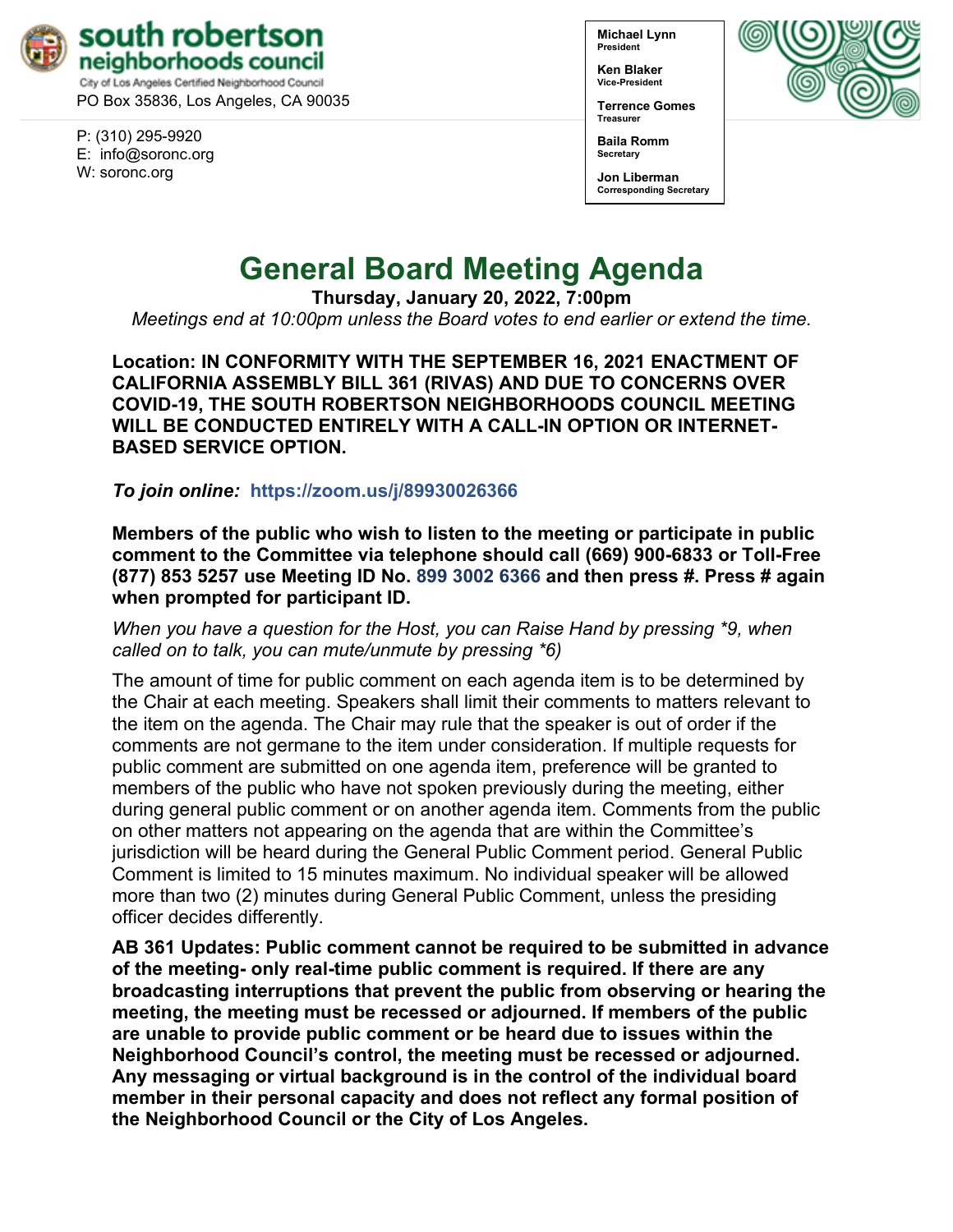

PO Box 35836, Los Angeles, CA 90035

P: (310) 295-9920 E: [info@soronc.org](mailto:info@soronc.org) W: soronc.org

**Michael Lynn President**

**Ken Blaker Vice-President**

**Terrence Gomes Treasurer**



**Secretary Jon Liberman Corresponding Secretary**



# **General Board Meeting Agenda**

**Thursday, January 20, 2022, 7:00pm**

*Meetings end at 10:00pm unless the Board votes to end earlier or extend the time.*

**Location: IN CONFORMITY WITH THE SEPTEMBER 16, 2021 ENACTMENT OF CALIFORNIA ASSEMBLY BILL 361 (RIVAS) AND DUE TO CONCERNS OVER COVID-19, THE SOUTH ROBERTSON NEIGHBORHOODS COUNCIL MEETING WILL BE CONDUCTED ENTIRELY WITH A CALL-IN OPTION OR INTERNET-BASED SERVICE OPTION.**

*To join online:* **<https://zoom.us/j/89930026366>**

**Members of the public who wish to listen to the meeting or participate in public comment to the Committee via telephone should call (669) 900-6833 or Toll-Free (877) 853 5257 use Meeting ID No. 899 3002 6366 and then press #. Press # again when prompted for participant ID.** 

*When you have a question for the Host, you can Raise Hand by pressing \*9, when called on to talk, you can mute/unmute by pressing \*6)* 

The amount of time for public comment on each agenda item is to be determined by the Chair at each meeting. Speakers shall limit their comments to matters relevant to the item on the agenda. The Chair may rule that the speaker is out of order if the comments are not germane to the item under consideration. If multiple requests for public comment are submitted on one agenda item, preference will be granted to members of the public who have not spoken previously during the meeting, either during general public comment or on another agenda item. Comments from the public on other matters not appearing on the agenda that are within the Committee's jurisdiction will be heard during the General Public Comment period. General Public Comment is limited to 15 minutes maximum. No individual speaker will be allowed more than two (2) minutes during General Public Comment, unless the presiding officer decides differently.

**AB 361 Updates: Public comment cannot be required to be submitted in advance of the meeting- only real-time public comment is required. If there are any broadcasting interruptions that prevent the public from observing or hearing the meeting, the meeting must be recessed or adjourned. If members of the public are unable to provide public comment or be heard due to issues within the Neighborhood Council's control, the meeting must be recessed or adjourned. Any messaging or virtual background is in the control of the individual board member in their personal capacity and does not reflect any formal position of the Neighborhood Council or the City of Los Angeles.**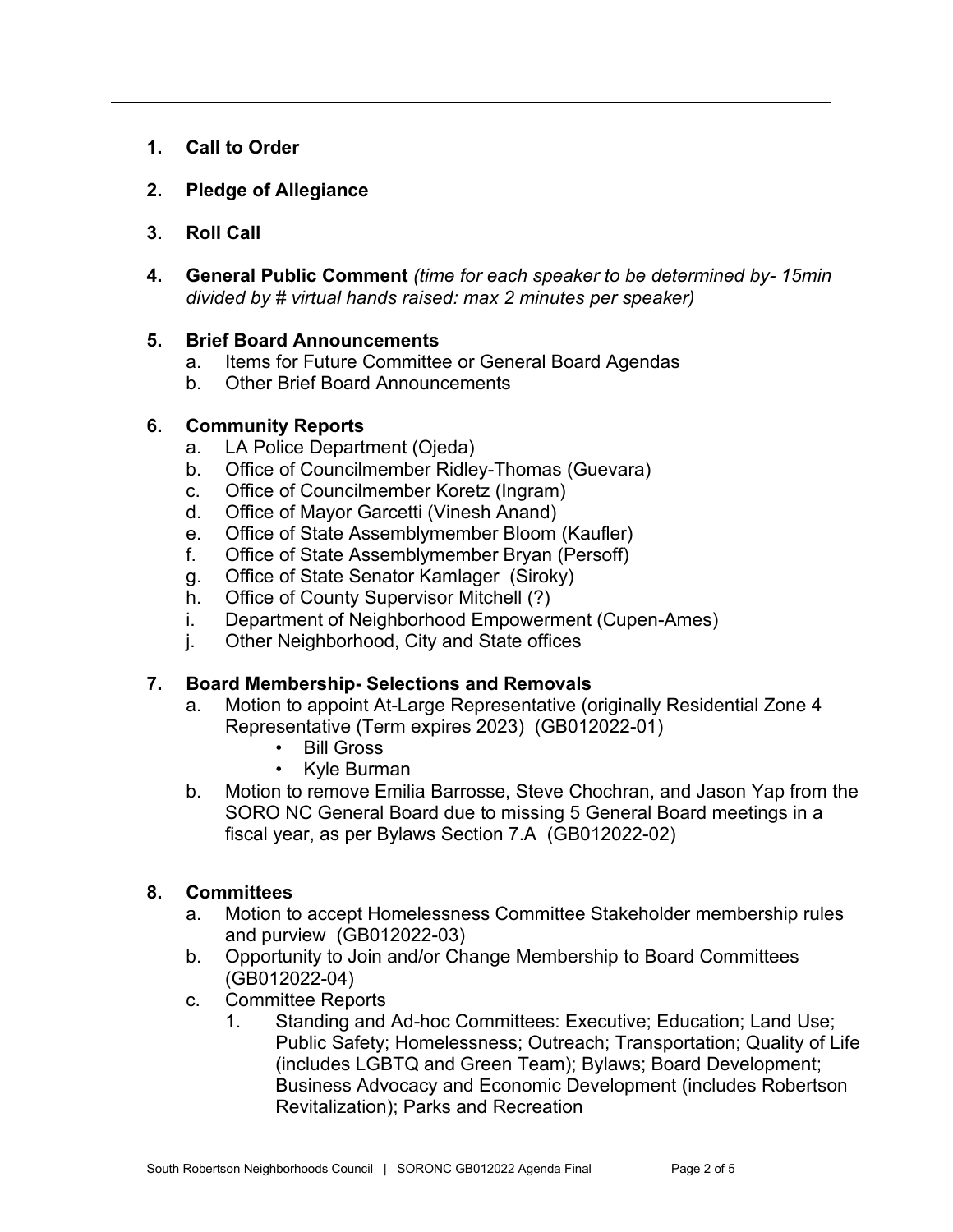- **1. Call to Order**
- **2. Pledge of Allegiance**
- **3. Roll Call**
- **4. General Public Comment** *(time for each speaker to be determined by- 15min divided by # virtual hands raised: max 2 minutes per speaker)*

## **5. Brief Board Announcements**

- a. Items for Future Committee or General Board Agendas
- b. Other Brief Board Announcements

## **6. Community Reports**

- a. LA Police Department (Ojeda)
- b. Office of Councilmember Ridley-Thomas (Guevara)
- c. Office of Councilmember Koretz (Ingram)
- d. Office of Mayor Garcetti (Vinesh Anand)
- e. Office of State Assemblymember Bloom (Kaufler)
- f. Office of State Assemblymember Bryan (Persoff)
- g. Office of State Senator Kamlager (Siroky)
- h. Office of County Supervisor Mitchell (?)
- i. Department of Neighborhood Empowerment (Cupen-Ames)
- j. Other Neighborhood, City and State offices

## **7. Board Membership- Selections and Removals**

- a. Motion to appoint At-Large Representative (originally Residential Zone 4 Representative (Term expires 2023) (GB012022-01)
	- Bill Gross
	- Kyle Burman
- b. Motion to remove Emilia Barrosse, Steve Chochran, and Jason Yap from the SORO NC General Board due to missing 5 General Board meetings in a fiscal year, as per Bylaws Section 7.A (GB012022-02)

## **8. Committees**

- a. Motion to accept Homelessness Committee Stakeholder membership rules and purview (GB012022-03)
- b. Opportunity to Join and/or Change Membership to Board Committees (GB012022-04)
- c. Committee Reports
	- 1. Standing and Ad-hoc Committees: Executive; Education; Land Use; Public Safety; Homelessness; Outreach; Transportation; Quality of Life (includes LGBTQ and Green Team); Bylaws; Board Development; Business Advocacy and Economic Development (includes Robertson Revitalization); Parks and Recreation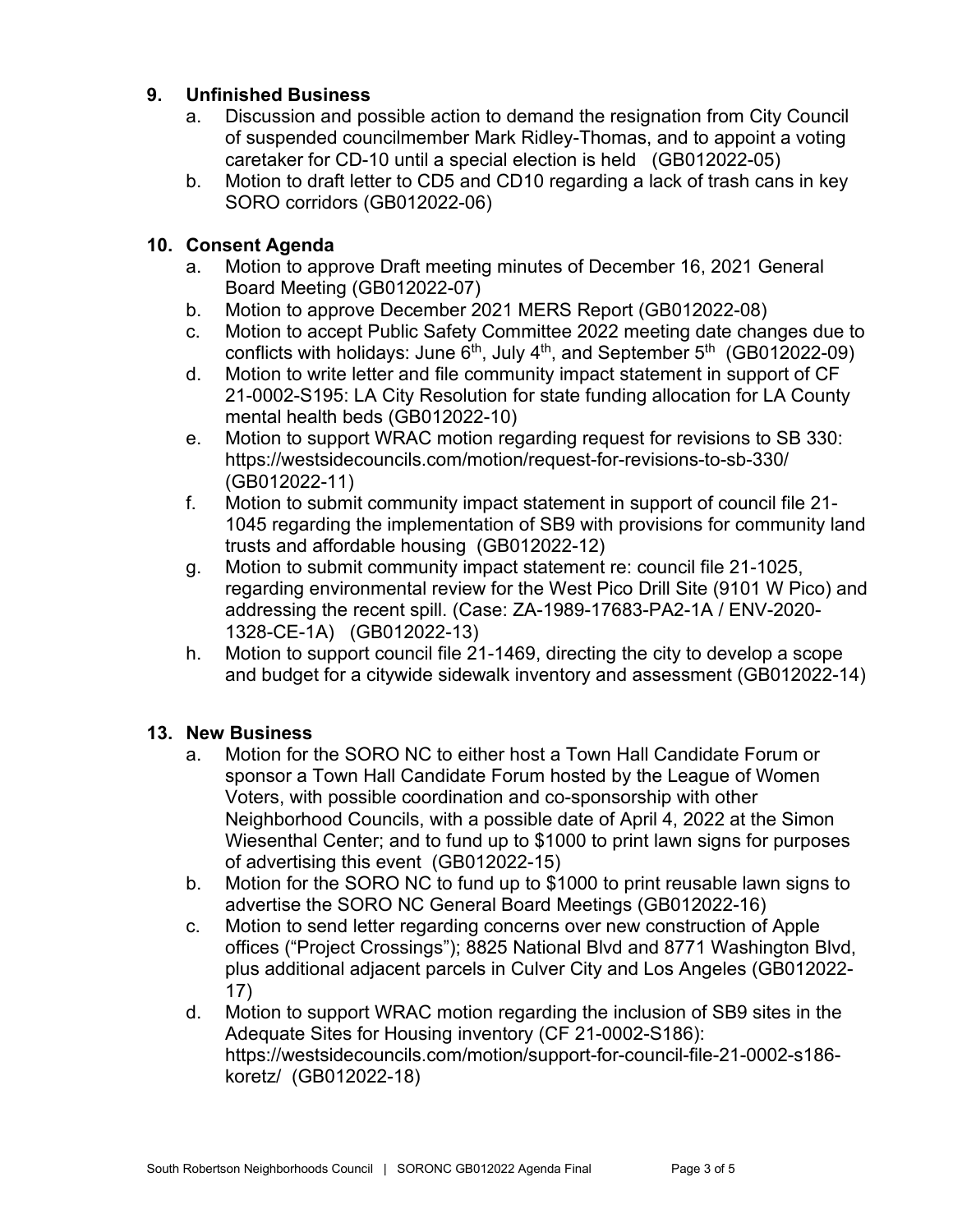## **9. Unfinished Business**

- a. Discussion and possible action to demand the resignation from City Council of suspended councilmember Mark Ridley-Thomas, and to appoint a voting caretaker for CD-10 until a special election is held (GB012022-05)
- b. Motion to draft letter to CD5 and CD10 regarding a lack of trash cans in key SORO corridors (GB012022-06)

## **10. Consent Agenda**

- a. Motion to approve Draft meeting minutes of December 16, 2021 General Board Meeting (GB012022-07)
- b. Motion to approve December 2021 MERS Report (GB012022-08)
- c. Motion to accept Public Safety Committee 2022 meeting date changes due to conflicts with holidays: June  $6<sup>th</sup>$ , July  $4<sup>th</sup>$ , and September  $5<sup>th</sup>$  (GB012022-09)
- d. Motion to write letter and file community impact statement in support of CF 21-0002-S195: LA City Resolution for state funding allocation for LA County mental health beds (GB012022-10)
- e. Motion to support WRAC motion regarding request for revisions to SB 330: <https://westsidecouncils.com/motion/request-for-revisions-to-sb-330/> (GB012022-11)
- f. Motion to submit community impact statement in support of council file 21- 1045 regarding the implementation of SB9 with provisions for community land trusts and affordable housing (GB012022-12)
- g. Motion to submit community impact statement re: council file 21-1025, regarding environmental review for the West Pico Drill Site (9101 W Pico) and addressing the recent spill. (Case: ZA-1989-17683-PA2-1A / ENV-2020- 1328-CE-1A) (GB012022-13)
- h. Motion to support council file 21-1469, directing the city to develop a scope and budget for a citywide sidewalk inventory and assessment (GB012022-14)

## **13. New Business**

- a. Motion for the SORO NC to either host a Town Hall Candidate Forum or sponsor a Town Hall Candidate Forum hosted by the League of Women Voters, with possible coordination and co-sponsorship with other Neighborhood Councils, with a possible date of April 4, 2022 at the Simon Wiesenthal Center; and to fund up to \$1000 to print lawn signs for purposes of advertising this event (GB012022-15)
- b. Motion for the SORO NC to fund up to \$1000 to print reusable lawn signs to advertise the SORO NC General Board Meetings (GB012022-16)
- c. Motion to send letter regarding concerns over new construction of Apple offices ("Project Crossings"); 8825 National Blvd and 8771 Washington Blvd, plus additional adjacent parcels in Culver City and Los Angeles (GB012022- 17)
- d. Motion to support WRAC motion regarding the inclusion of SB9 sites in the Adequate Sites for Housing inventory (CF 21-0002-S186): https://westsidecouncils.com/motion/support-for-council-file-21-0002-s186 koretz/ (GB012022-18)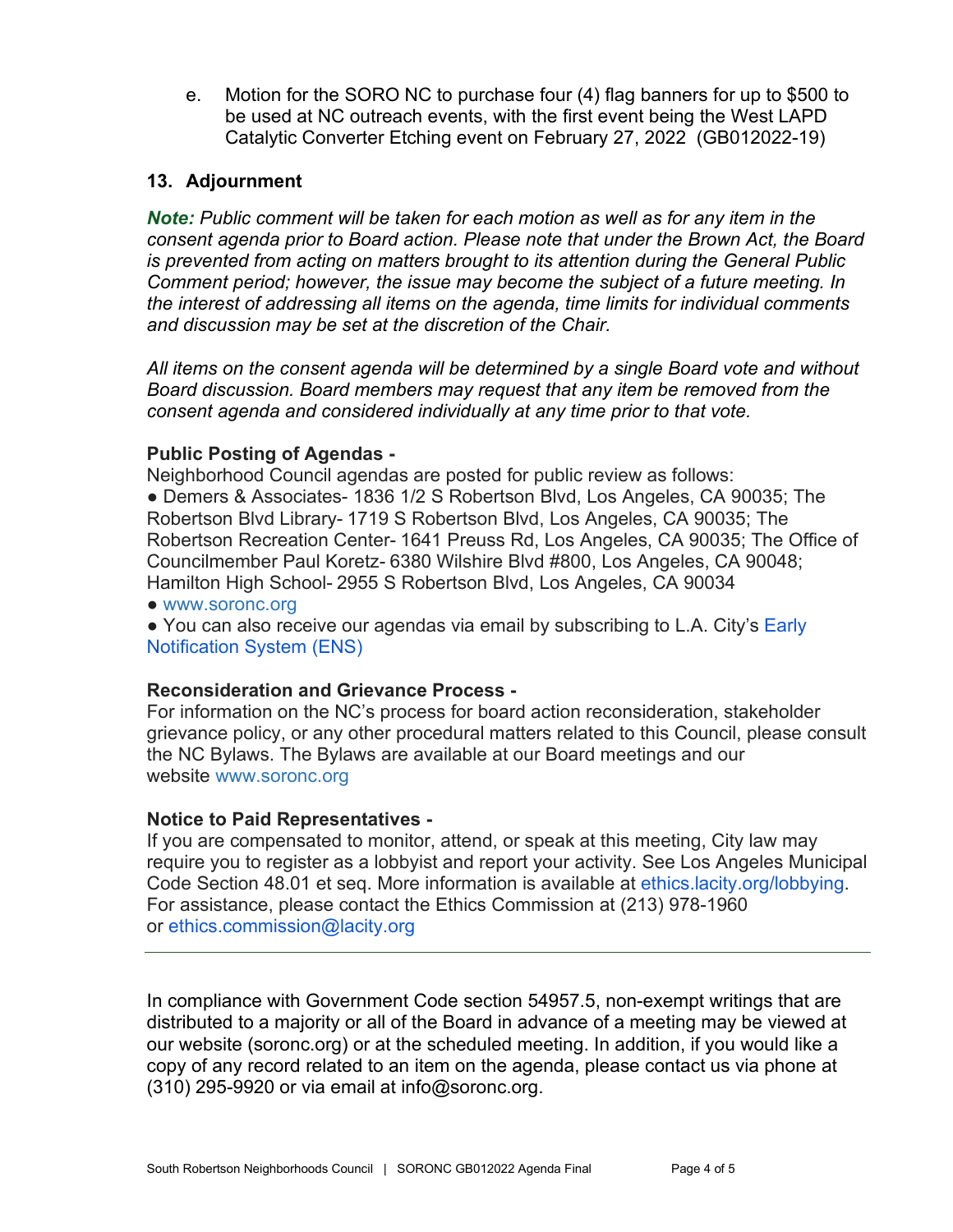e. Motion for the SORO NC to purchase four (4) flag banners for up to \$500 to be used at NC outreach events, with the first event being the West LAPD Catalytic Converter Etching event on February 27, 2022 (GB012022-19)

## **13. Adjournment**

*Note: Public comment will be taken for each motion as well as for any item in the consent agenda prior to Board action. Please note that under the Brown Act, the Board is prevented from acting on matters brought to its attention during the General Public Comment period; however, the issue may become the subject of a future meeting. In the interest of addressing all items on the agenda, time limits for individual comments and discussion may be set at the discretion of the Chair.*

*All items on the consent agenda will be determined by a single Board vote and without Board discussion. Board members may request that any item be removed from the consent agenda and considered individually at any time prior to that vote.*

## **Public Posting of Agendas -**

Neighborhood Council agendas are posted for public review as follows:

● Demers & Associates- 1836 1/2 S Robertson Blvd, Los Angeles, CA 90035; The Robertson Blvd Library- 1719 S Robertson Blvd, Los Angeles, CA 90035; The Robertson Recreation Center- 1641 Preuss Rd, Los Angeles, CA 90035; The Office of Councilmember Paul Koretz- 6380 Wilshire Blvd #800, Los Angeles, CA 90048; Hamilton High School- 2955 S Robertson Blvd, Los Angeles, CA 90034

● [www.soronc.org](http://www.soronc.org/)

● You can also receive our agendas via email by subscribing to L.A. City's Early [Notification System \(ENS\)](https://www.lacity.org/government/subscribe-agendasnotifications/neighborhood-councils)

## **Reconsideration and Grievance Process -**

For information on the NC's process for board action reconsideration, stakeholder grievance policy, or any other procedural matters related to this Council, please consult the NC Bylaws. The Bylaws are available at our Board meetings and our website [www.soronc.org](http://www.soronc.org/)

## **Notice to Paid Representatives -**

If you are compensated to monitor, attend, or speak at this meeting, City law may require you to register as a lobbyist and report your activity. See Los Angeles Municipal Code Section 48.01 et seq. More information is available at [ethics.lacity.org/lobbying.](http://ethics.lacity.org/lobbying) For assistance, please contact the Ethics Commission at (213) 978-1960 or [ethics.commission@lacity.org](mailto:ethics.commission@lacity.org)

In compliance with Government Code section 54957.5, non-exempt writings that are distributed to a majority or all of the Board in advance of a meeting may be viewed at our website (soronc.org) or at the scheduled meeting. In addition, if you would like a copy of any record related to an item on the agenda, please contact us via phone at (310) 295-9920 or via email at [info@soronc.org.](mailto:info@soronc.org)